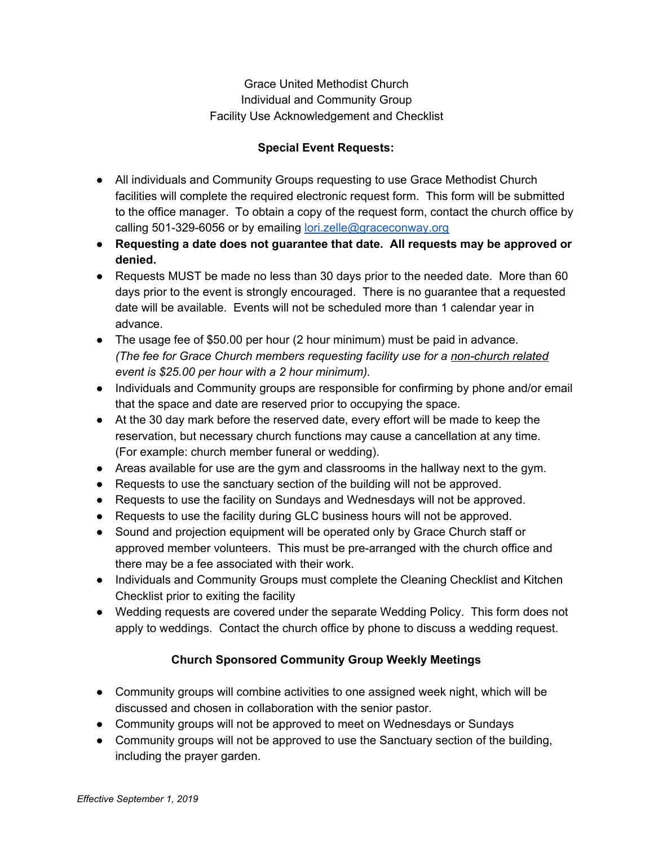## Grace United Methodist Church Individual and Community Group Facility Use Acknowledgement and Checklist

## **Special Event Requests:**

- All individuals and Community Groups requesting to use Grace Methodist Church facilities will complete the required electronic request form. This form will be submitted to the office manager. To obtain a copy of the request form, contact the church office by calling 501-329-6056 or by emailing [lori.zelle@graceconway.org](mailto:lori.zelle@graceconway.org)
- **Requesting a date does not guarantee that date. All requests may be approved or denied.**
- Requests MUST be made no less than 30 days prior to the needed date. More than 60 days prior to the event is strongly encouraged. There is no guarantee that a requested date will be available. Events will not be scheduled more than 1 calendar year in advance.
- The usage fee of \$50.00 per hour (2 hour minimum) must be paid in advance. *(The fee for Grace Church members requesting facility use for a non-church related event is \$25.00 per hour with a 2 hour minimum).*
- Individuals and Community groups are responsible for confirming by phone and/or email that the space and date are reserved prior to occupying the space.
- At the 30 day mark before the reserved date, every effort will be made to keep the reservation, but necessary church functions may cause a cancellation at any time. (For example: church member funeral or wedding).
- Areas available for use are the gym and classrooms in the hallway next to the gym.
- Requests to use the sanctuary section of the building will not be approved.
- Requests to use the facility on Sundays and Wednesdays will not be approved.
- Requests to use the facility during GLC business hours will not be approved.
- Sound and projection equipment will be operated only by Grace Church staff or approved member volunteers. This must be pre-arranged with the church office and there may be a fee associated with their work.
- Individuals and Community Groups must complete the Cleaning Checklist and Kitchen Checklist prior to exiting the facility
- Wedding requests are covered under the separate Wedding Policy. This form does not apply to weddings. Contact the church office by phone to discuss a wedding request.

## **Church Sponsored Community Group Weekly Meetings**

- Community groups will combine activities to one assigned week night, which will be discussed and chosen in collaboration with the senior pastor.
- Community groups will not be approved to meet on Wednesdays or Sundays
- Community groups will not be approved to use the Sanctuary section of the building, including the prayer garden.